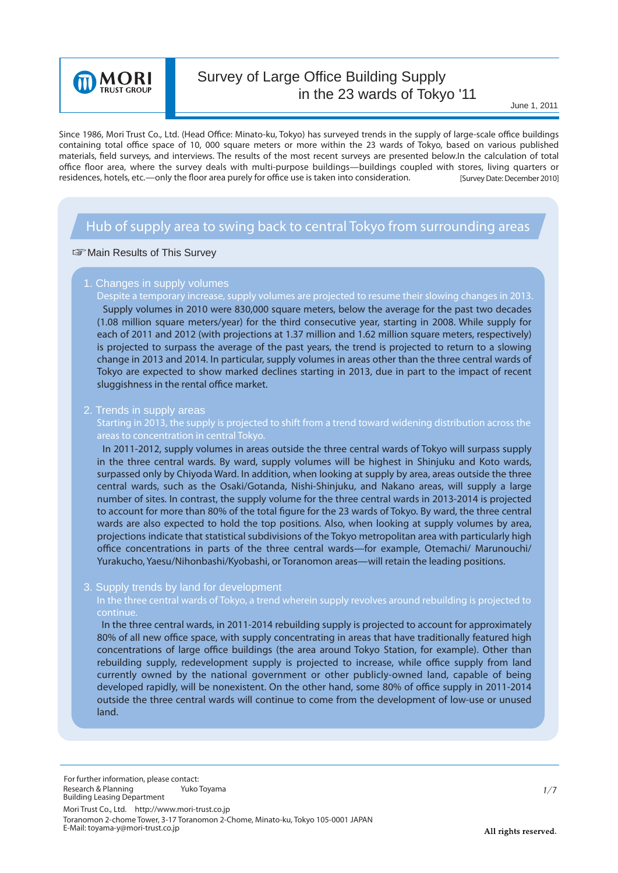

# Survey of Large Office Building Supply in the 23 wards of Tokyo '11

June 1, 2011

Since 1986, Mori Trust Co., Ltd. (Head Office: Minato-ku, Tokyo) has surveyed trends in the supply of large-scale office buildings containing total office space of 10, 000 square meters or more within the 23 wards of Tokyo, based on various published materials, field surveys, and interviews. The results of the most recent surveys are presented below.In the calculation of total office floor area, where the survey deals with multi-purpose buildings—buildings coupled with stores, living quarters or residences, hotels, etc.—only the floor area purely for office use is taken into consideration. [Survey Date: December 2010]

# *Hub of supply area to swing back to central Tokyo from surrounding areas*

### **Solution Results of This Survey**

# 1. Changes in supply volumes

 Supply volumes in 2010 were 830,000 square meters, below the average for the past two decades (1.08 million square meters/year) for the third consecutive year, starting in 2008. While supply for each of 2011 and 2012 (with projections at 1.37 million and 1.62 million square meters, respectively) **Despite a temporary increase, supply volumes are projected to resume their slowing changes in 2013.**

is projected to surpass the average of the past years, the trend is projected to return to a slowing change in 2013 and 2014. In particular, supply volumes in areas other than the three central wards of Tokyo are expected to show marked declines starting in 2013, due in part to the impact of recent sluggishness in the rental office market.

#### 2. Trends in supply areas

**Starting in 2013, the supply is projected to shift from a trend toward widening distribution across the**

 In 2011-2012, supply volumes in areas outside the three central wards of Tokyo will surpass supply in the three central wards. By ward, supply volumes will be highest in Shinjuku and Koto wards, surpassed only by Chiyoda Ward. In addition, when looking at supply by area, areas outside the three central wards, such as the Osaki/Gotanda, Nishi-Shinjuku, and Nakano areas, will supply a large number of sites. In contrast, the supply volume for the three central wards in 2013-2014 is projected to account for more than 80% of the total figure for the 23 wards of Tokyo. By ward, the three central wards are also expected to hold the top positions. Also, when looking at supply volumes by area, projections indicate that statistical subdivisions of the Tokyo metropolitan area with particularly high office concentrations in parts of the three central wards—for example, Otemachi/ Marunouchi/ Yurakucho, Yaesu/Nihonbashi/Kyobashi, or Toranomon areas—will retain the leading positions.

#### 3. Supply trends by land for development

## **In the three central wards of Tokyo, a trend wherein supply revolves around rebuilding is projected to continue.**

 In the three central wards, in 2011-2014 rebuilding supply is projected to account for approximately 80% of all new office space, with supply concentrating in areas that have traditionally featured high concentrations of large office buildings (the area around Tokyo Station, for example). Other than rebuilding supply, redevelopment supply is projected to increase, while office supply from land currently owned by the national government or other publicly-owned land, capable of being developed rapidly, will be nonexistent. On the other hand, some 80% of office supply in 2011-2014 outside the three central wards will continue to come from the development of low-use or unused land.

Research & Planning Yuko Toyama 1/7 Building Leasing Department *For further information, please contact:*

Mori Trust Co., Ltd. http://www.mori-trust.co.jp Toranomon 2-chome Tower, 3-17 Toranomon 2-Chome, Minato-ku, Tokyo 105-0001 JAPAN E-Mail: toyama-y@mori-trust.co.jp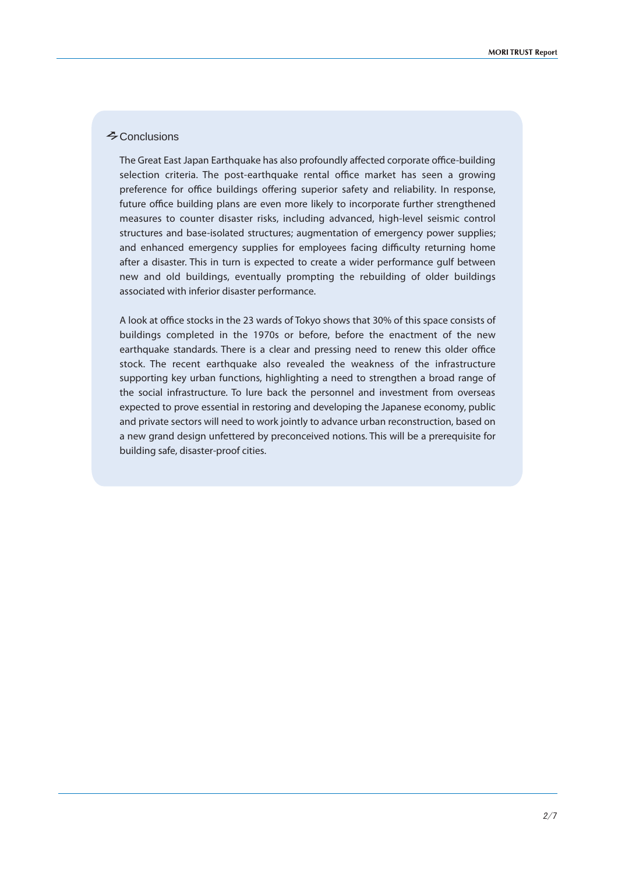# $\triangle$  Conclusions

The Great East Japan Earthquake has also profoundly affected corporate office-building selection criteria. The post-earthquake rental office market has seen a growing preference for office buildings offering superior safety and reliability. In response, future office building plans are even more likely to incorporate further strengthened measures to counter disaster risks, including advanced, high-level seismic control structures and base-isolated structures; augmentation of emergency power supplies; and enhanced emergency supplies for employees facing difficulty returning home after a disaster. This in turn is expected to create a wider performance gulf between new and old buildings, eventually prompting the rebuilding of older buildings associated with inferior disaster performance.

A look at office stocks in the 23 wards of Tokyo shows that 30% of this space consists of buildings completed in the 1970s or before, before the enactment of the new earthquake standards. There is a clear and pressing need to renew this older office stock. The recent earthquake also revealed the weakness of the infrastructure supporting key urban functions, highlighting a need to strengthen a broad range of the social infrastructure. To lure back the personnel and investment from overseas expected to prove essential in restoring and developing the Japanese economy, public and private sectors will need to work jointly to advance urban reconstruction, based on a new grand design unfettered by preconceived notions. This will be a prerequisite for building safe, disaster-proof cities.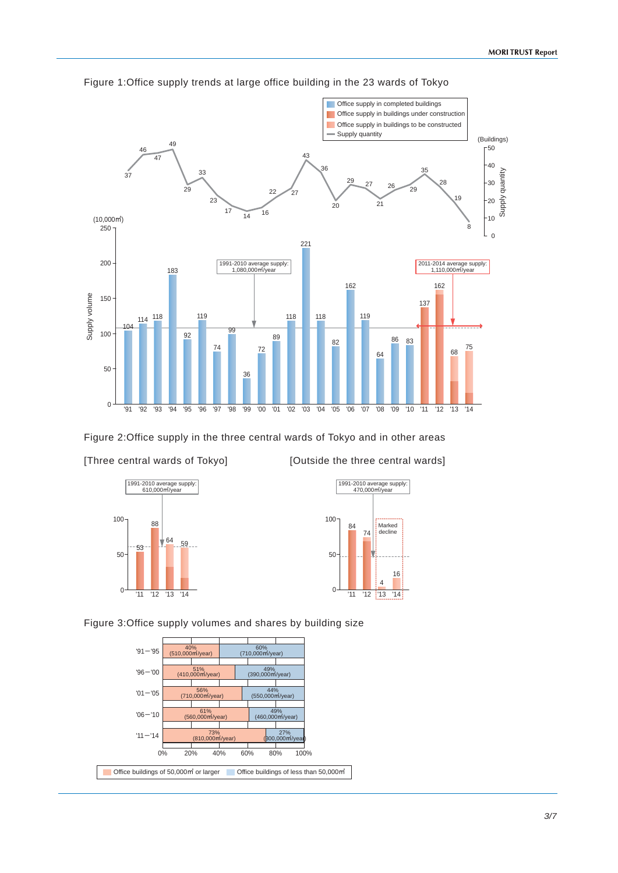

Figure 1:Office supply trends at large office building in the 23 wards of Tokyo

Figure 2:Office supply in the three central wards of Tokyo and in other areas [Three central wards of Tokyo] [Outside the three central wards]





Figure 3:Office supply volumes and shares by building size

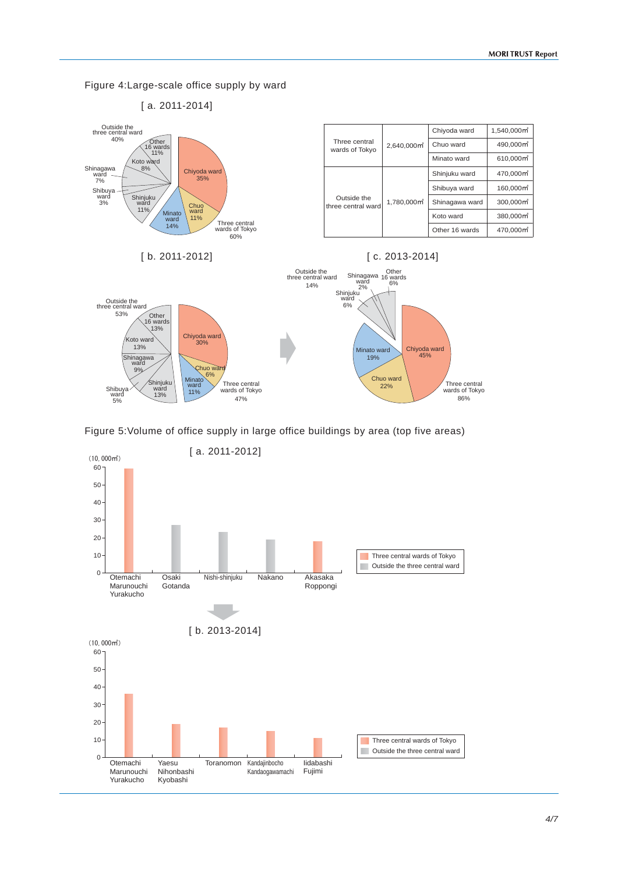Figure 4:Large-scale office supply by ward





Figure 5:Volume of office supply in large office buildings by area (top five areas)

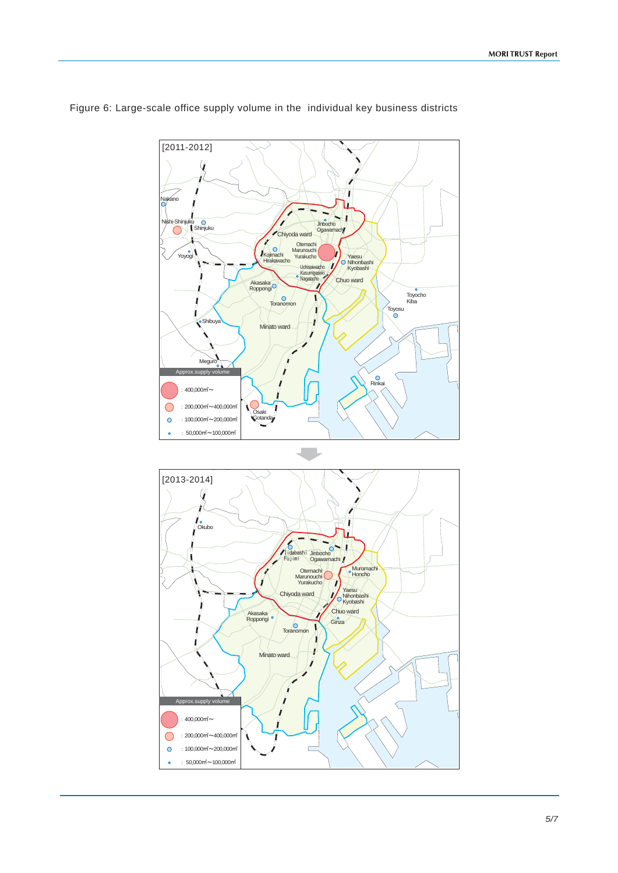

Figure 6: Large-scale office supply volume in the individual key business districts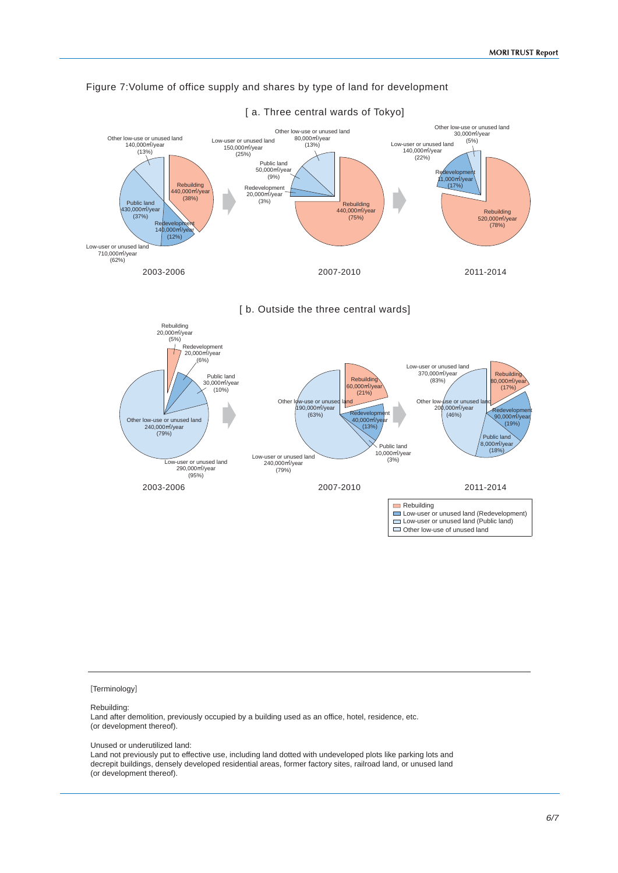

### Figure 7:Volume of office supply and shares by type of land for development





[Terminology]

#### Rebuilding:

Land after demolition, previously occupied by a building used as an office, hotel, residence, etc. (or development thereof).

#### Unused or underutilized land:

Land not previously put to effective use, including land dotted with undeveloped plots like parking lots and decrepit buildings, densely developed residential areas, former factory sites, railroad land, or unused land (or development thereof).